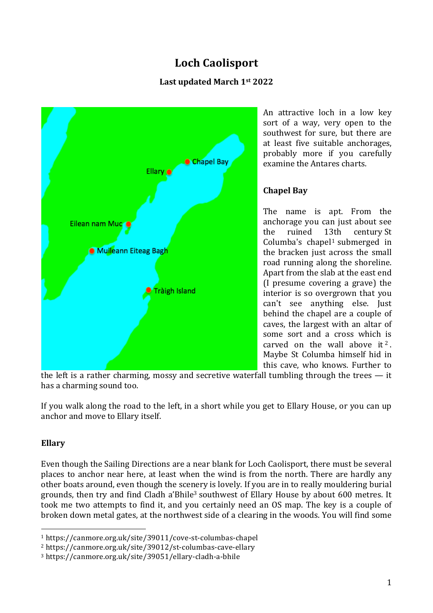# **Loch Caolisport**

# **Last updated March 1st 2022**



An attractive loch in a low key sort of a way, very open to the southwest for sure, but there are at least five suitable anchorages, probably more if you carefully examine the Antares charts.

# **Chapel Bay**

The name is apt. From the anchorage you can just about see the ruined 13th century St Columba's chapel<sup>1</sup> submerged in the bracken just across the small road running along the shoreline. Apart from the slab at the east end (I presume covering a grave) the interior is so overgrown that you can't see anything else. Just behind the chapel are a couple of caves, the largest with an altar of some sort and a cross which is carved on the wall above it<sup>2</sup>. Maybe St Columba himself hid in this cave, who knows. Further to

the left is a rather charming, mossy and secretive waterfall tumbling through the trees — it has a charming sound too.

If you walk along the road to the left, in a short while you get to Ellary House, or you can up anchor and move to Ellary itself.

# **Ellary**

Even though the Sailing Directions are a near blank for Loch Caolisport, there must be several places to anchor near here, at least when the wind is from the north. There are hardly any other boats around, even though the scenery is lovely. If you are in to really mouldering burial grounds, then try and find Cladh a'Bhile<sup>3</sup> southwest of Ellary House by about 600 metres. It took me two attempts to find it, and you certainly need an OS map. The key is a couple of broken down metal gates, at the northwest side of a clearing in the woods. You will find some

 

<sup>1</sup> https://canmore.org.uk/site/39011/cove-st-columbas-chapel

<sup>2</sup> https://canmore.org.uk/site/39012/st-columbas-cave-ellary

<sup>3</sup> https://canmore.org.uk/site/39051/ellary-cladh-a-bhile